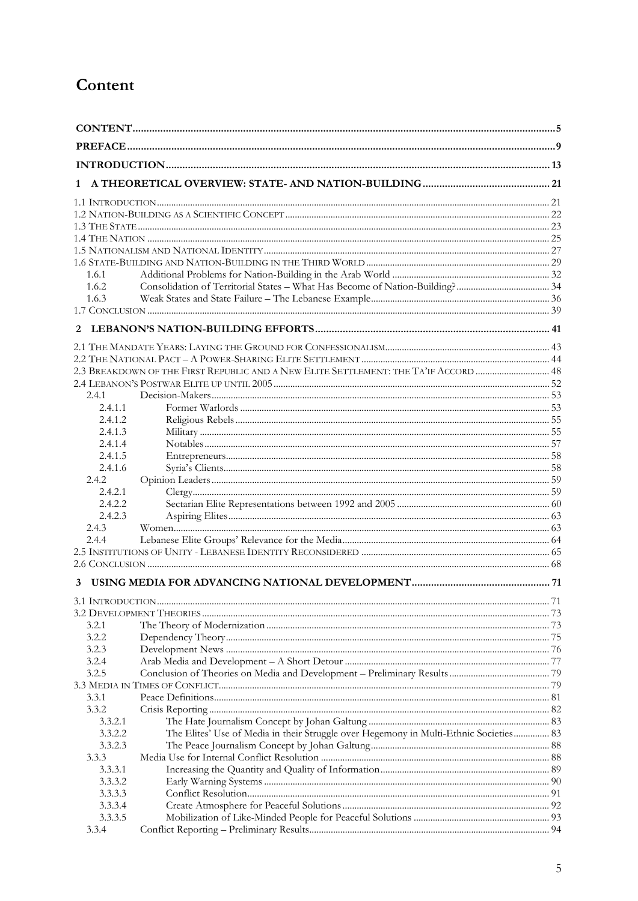## Content

| 1                  |                                                                                       |    |
|--------------------|---------------------------------------------------------------------------------------|----|
|                    |                                                                                       |    |
|                    |                                                                                       |    |
|                    |                                                                                       |    |
|                    |                                                                                       |    |
|                    |                                                                                       |    |
|                    |                                                                                       |    |
| 1.6.1              |                                                                                       |    |
| 1.6.2              |                                                                                       |    |
| 1.6.3              |                                                                                       |    |
|                    |                                                                                       |    |
| 2                  |                                                                                       |    |
|                    |                                                                                       |    |
|                    |                                                                                       |    |
|                    | 2.3 BREAKDOWN OF THE FIRST REPUBLIC AND A NEW ELITE SETTLEMENT: THE TA'IF ACCORD  48  |    |
|                    |                                                                                       |    |
| 2.4.1              |                                                                                       |    |
| 2.4.1.1<br>2.4.1.2 |                                                                                       |    |
| 2.4.1.3            |                                                                                       |    |
| 2.4.1.4            |                                                                                       |    |
| 2.4.1.5            |                                                                                       |    |
| 2.4.1.6            |                                                                                       |    |
| 2.4.2              |                                                                                       |    |
| 2.4.2.1            |                                                                                       |    |
| 2.4.2.2            |                                                                                       |    |
| 2.4.2.3            |                                                                                       |    |
| 2.4.3              |                                                                                       |    |
| 2.4.4              |                                                                                       |    |
|                    |                                                                                       |    |
| 3                  |                                                                                       |    |
|                    |                                                                                       | 71 |
|                    |                                                                                       |    |
| 3.2.1              |                                                                                       |    |
| 3.2.2              |                                                                                       |    |
| 3.2.3              |                                                                                       |    |
| 3.2.4              |                                                                                       |    |
| 3.2.5              |                                                                                       |    |
|                    |                                                                                       |    |
| 3.3.1              |                                                                                       |    |
| 3.3.2<br>3.3.2.1   |                                                                                       |    |
| 3.3.2.2            | The Elites' Use of Media in their Struggle over Hegemony in Multi-Ethnic Societies 83 |    |
| 3.3.2.3            |                                                                                       |    |
| 3.3.3              |                                                                                       |    |
| 3.3.3.1            |                                                                                       |    |
| 3.3.3.2            |                                                                                       |    |
| 3.3.3.3            |                                                                                       |    |
| 3.3.3.4            |                                                                                       |    |
| 3.3.3.5            |                                                                                       |    |
| 3.3.4              |                                                                                       |    |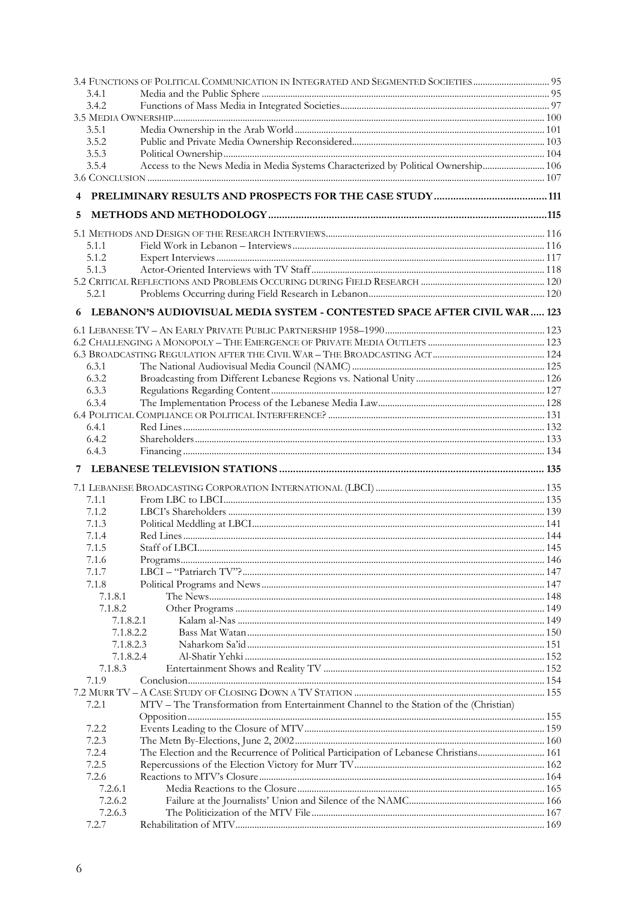|                | 3.4 FUNCTIONS OF POLITICAL COMMUNICATION IN INTEGRATED AND SEGMENTED SOCIETIES  95    |  |
|----------------|---------------------------------------------------------------------------------------|--|
| 3.4.1          |                                                                                       |  |
| 3.4.2          |                                                                                       |  |
|                |                                                                                       |  |
| 3.5.1          |                                                                                       |  |
| 3.5.2          |                                                                                       |  |
| 3.5.3          |                                                                                       |  |
| 3.5.4          | Access to the News Media in Media Systems Characterized by Political Ownership 106    |  |
|                |                                                                                       |  |
| 4              |                                                                                       |  |
| 5              |                                                                                       |  |
|                |                                                                                       |  |
| 5.1.1          |                                                                                       |  |
| 5.1.2          |                                                                                       |  |
| 5.1.3          |                                                                                       |  |
|                |                                                                                       |  |
| 5.2.1          |                                                                                       |  |
| 6.             | LEBANON'S AUDIOVISUAL MEDIA SYSTEM - CONTESTED SPACE AFTER CIVIL WAR 123              |  |
|                |                                                                                       |  |
|                |                                                                                       |  |
|                |                                                                                       |  |
| 6.3.1          |                                                                                       |  |
| 6.3.2          |                                                                                       |  |
| 6.3.3          |                                                                                       |  |
| 6.3.4          |                                                                                       |  |
|                |                                                                                       |  |
| 6.4.1          |                                                                                       |  |
| 6.4.2          |                                                                                       |  |
| 6.4.3          |                                                                                       |  |
| 7              |                                                                                       |  |
|                |                                                                                       |  |
|                |                                                                                       |  |
| 7.1.1<br>7.1.2 |                                                                                       |  |
| 7.1.3          |                                                                                       |  |
| 7.1.4          |                                                                                       |  |
| 7.1.5          |                                                                                       |  |
| 7.1.6          |                                                                                       |  |
| 7.1.7          |                                                                                       |  |
| 7.1.8          |                                                                                       |  |
| 7.1.8.1        |                                                                                       |  |
| 7.1.8.2        |                                                                                       |  |
| 7.1.8.2.1      |                                                                                       |  |
|                | 7.1.8.2.2                                                                             |  |
| 7.1.8.2.3      |                                                                                       |  |
|                | 7.1.8.2.4                                                                             |  |
| 7.1.8.3        |                                                                                       |  |
| 7.1.9          |                                                                                       |  |
|                |                                                                                       |  |
| 7.2.1          | MTV - The Transformation from Entertainment Channel to the Station of the (Christian) |  |
|                |                                                                                       |  |
| 7.2.2          |                                                                                       |  |
| 7.2.3          |                                                                                       |  |
| 7.2.4          | The Election and the Recurrence of Political Participation of Lebanese Christians 161 |  |
| 7.2.5          |                                                                                       |  |
| 7.2.6          |                                                                                       |  |
| 7.2.6.1        |                                                                                       |  |
| 7.2.6.2        |                                                                                       |  |
| 7.2.6.3        |                                                                                       |  |
| 7.2.7          |                                                                                       |  |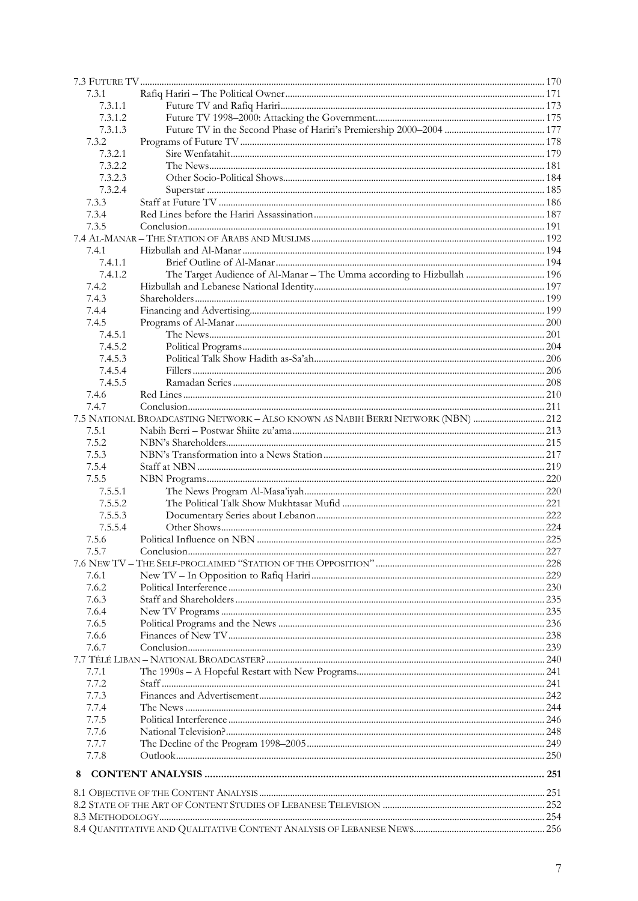| 7.3.1          |                                                                                  |  |
|----------------|----------------------------------------------------------------------------------|--|
| 7.3.1.1        |                                                                                  |  |
| 7.3.1.2        |                                                                                  |  |
| 7.3.1.3        |                                                                                  |  |
| 7.3.2          |                                                                                  |  |
| 7.3.2.1        |                                                                                  |  |
| 7.3.2.2        |                                                                                  |  |
| 7.3.2.3        |                                                                                  |  |
| 7.3.2.4        |                                                                                  |  |
| 7.3.3          |                                                                                  |  |
| 7.3.4          |                                                                                  |  |
| 7.3.5          |                                                                                  |  |
|                |                                                                                  |  |
| 7.4.1          |                                                                                  |  |
| 7.4.1.1        |                                                                                  |  |
| 7.4.1.2        | The Target Audience of Al-Manar – The Umma according to Hizbullah  196           |  |
| 7.4.2          |                                                                                  |  |
| 7.4.3          |                                                                                  |  |
| 7.4.4          |                                                                                  |  |
| 7.4.5          |                                                                                  |  |
| 7.4.5.1        |                                                                                  |  |
| 7.4.5.2        |                                                                                  |  |
| 7.4.5.3        |                                                                                  |  |
| 7.4.5.4        |                                                                                  |  |
|                |                                                                                  |  |
| 7.4.5.5        |                                                                                  |  |
| 7.4.6<br>7.4.7 |                                                                                  |  |
|                |                                                                                  |  |
|                | 7.5 NATIONAL BROADCASTING NETWORK - ALSO KNOWN AS NABIH BERRI NETWORK (NBN)  212 |  |
| 7.5.1          |                                                                                  |  |
| 7.5.2          |                                                                                  |  |
| 7.5.3          |                                                                                  |  |
| 7.5.4          |                                                                                  |  |
| 7.5.5          |                                                                                  |  |
| 7.5.5.1        |                                                                                  |  |
| 7.5.5.2        |                                                                                  |  |
| 7.5.5.3        |                                                                                  |  |
| 7.5.5.4        |                                                                                  |  |
| 7.5.6          |                                                                                  |  |
| 7.5.7          |                                                                                  |  |
|                |                                                                                  |  |
| 7.6.1          |                                                                                  |  |
| 7.6.2          |                                                                                  |  |
| 7.6.3          |                                                                                  |  |
| 7.6.4          |                                                                                  |  |
| 7.6.5          |                                                                                  |  |
| 7.6.6          |                                                                                  |  |
| 7.6.7          |                                                                                  |  |
|                |                                                                                  |  |
| 7.7.1          |                                                                                  |  |
| 7.7.2          |                                                                                  |  |
| 7.7.3          |                                                                                  |  |
| 7.7.4          |                                                                                  |  |
| 7.7.5          |                                                                                  |  |
| 7.7.6          |                                                                                  |  |
| 7.7.7          |                                                                                  |  |
| 7.7.8          |                                                                                  |  |
| 8              |                                                                                  |  |
|                |                                                                                  |  |
|                |                                                                                  |  |
|                |                                                                                  |  |
|                |                                                                                  |  |
|                |                                                                                  |  |